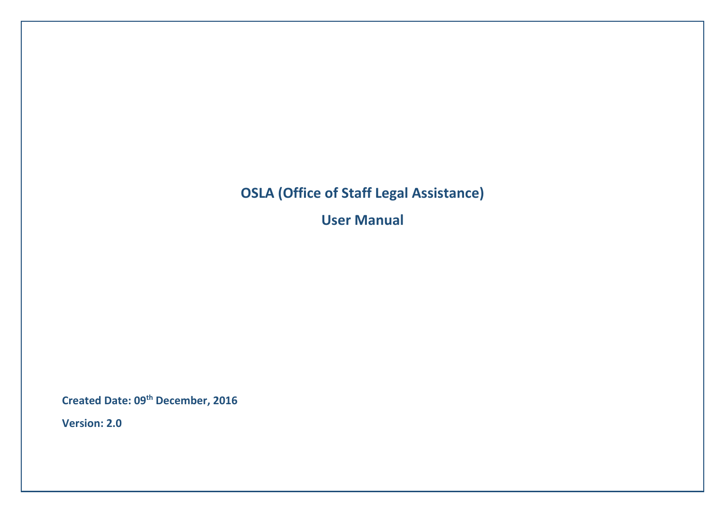# **OSLA (Office of Staff Legal Assistance)**

**User Manual**

**Created Date: 09th December, 2016**

**Version: 2.0**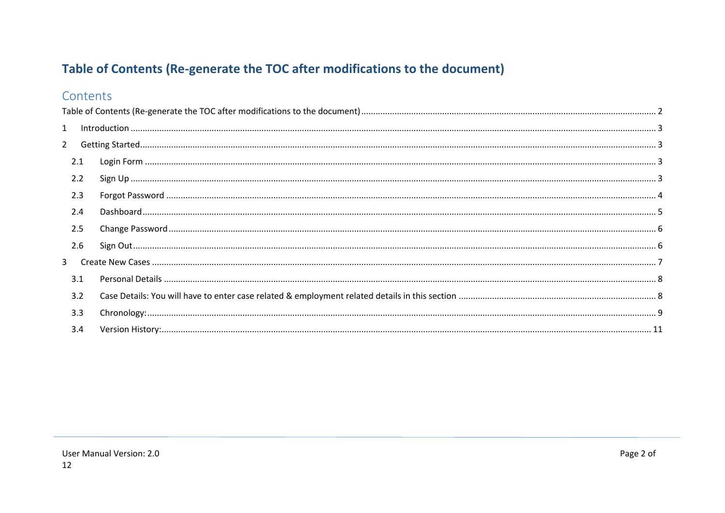# <span id="page-1-0"></span>Table of Contents (Re-generate the TOC after modifications to the document)

# Contents

| $\mathbf{1}$ |  |  |
|--------------|--|--|
| $2^{\circ}$  |  |  |
| 2.1          |  |  |
| 2.2          |  |  |
| 2.3          |  |  |
| 2.4          |  |  |
| 2.5          |  |  |
| 2.6          |  |  |
| 3            |  |  |
| 3.1          |  |  |
| 3.2          |  |  |
| 3.3          |  |  |
| 3.4          |  |  |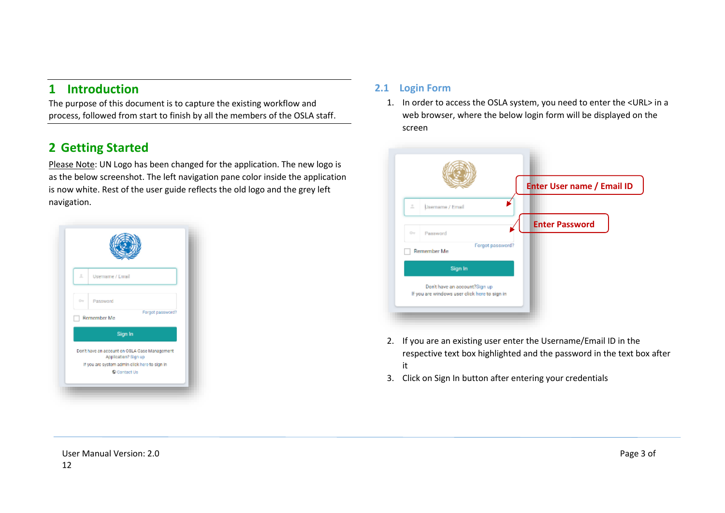# <span id="page-2-0"></span>**1 Introduction**

The purpose of this document is to capture the existing workflow and process, followed from start to finish by all the members of the OSLA staff.

# <span id="page-2-1"></span>**2 Getting Started**

Please Note: UN Logo has been changed for the application. The new logo is as the below screenshot. The left navigation pane color inside the application is now white. Rest of the user guide reflects the old logo and the grey left navigation.



## <span id="page-2-2"></span>**2.1 Login Form**

1. In order to access the OSLA system, you need to enter the <URL> in a web browser, where the below login form will be displayed on the screen



- 2. If you are an existing user enter the Username/Email ID in the respective text box highlighted and the password in the text box after it
- 3. Click on Sign In button after entering your credentials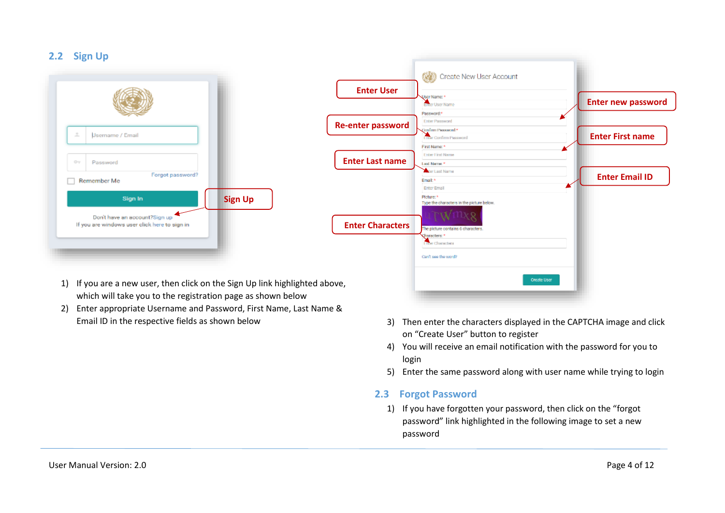#### <span id="page-3-0"></span>**2.2 Sign Up**

| 土    | <b>Jeemame / Email</b>                                                         |                |
|------|--------------------------------------------------------------------------------|----------------|
| $O-$ | Password                                                                       |                |
|      | Forgot password?<br>Remember Me                                                |                |
|      | Sign In                                                                        | <b>Sign Up</b> |
|      | Don't have an account?Sign up<br>If you are windows user click here to sign in |                |

- ◎ Create New User Account **Enter User**  ker Name: 1 **Enter new password** Enter User Name Password:<sup>4</sup> Enter Password **Re-enter password**Strumm Processort!" **Enter Confirm Password Enter First name** First Name: **Enter First Name Enter Last name Last Name Car Last Name Enter Email ID** Email:<sup>4</sup> Enter Email Picture: \* Type the characters in the picture below Ŵ **Enter Characters** The ploture contains 6 characters Characters: \* The Characters Can't see the word? Create User
- 1) If you are a new user, then click on the Sign Up link highlighted above, which will take you to the registration page as shown below
- 2) Enter appropriate Username and Password, First Name, Last Name &
	- Email ID in the respective fields as shown below 3) Then enter the characters displayed in the CAPTCHA image and click on "Create User" button to register
		- 4) You will receive an email notification with the password for you to login
		- 5) Enter the same password along with user name while trying to login

### <span id="page-3-1"></span>**2.3 Forgot Password**

1) If you have forgotten your password, then click on the "forgot password" link highlighted in the following image to set a new password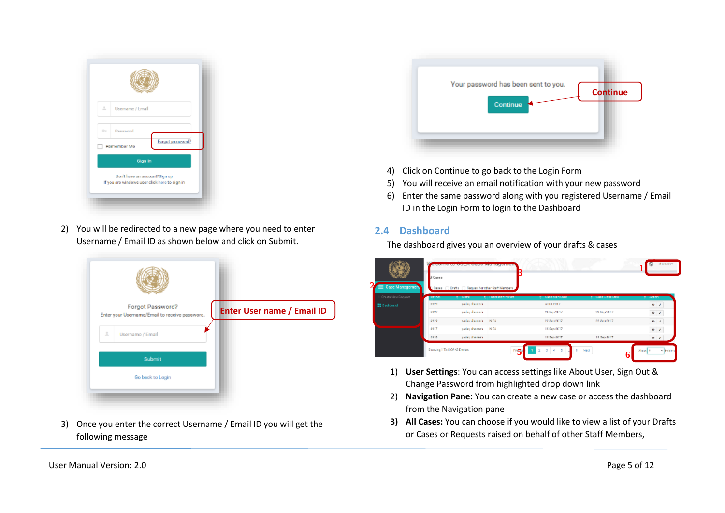| 土             | Username / Lmail                                                               |  |
|---------------|--------------------------------------------------------------------------------|--|
| $\frac{1}{2}$ | Password                                                                       |  |
|               | Forget password?<br>Remember Me                                                |  |
|               | Sign In                                                                        |  |
|               | Don't have an account?Sign up<br>If you are windows user click here to sign in |  |

2) You will be redirected to a new page where you need to enter Username / Email ID as shown below and click on Submit.



3) Once you enter the correct Username / Email ID you will get the following message



- 4) Click on Continue to go back to the Login Form
- 5) You will receive an email notification with your new password
- 6) Enter the same password along with you registered Username / Email ID in the Login Form to login to the Dashboard

#### <span id="page-4-0"></span>**2.4 Dashboard**

**2**

The dashboard gives you an overview of your drafts & cases

| Case Management   | <b>Il Gusea</b> | Cases ( Drafts C) Request for other Staff Members |                 |                        |                       |                           |
|-------------------|-----------------|---------------------------------------------------|-----------------|------------------------|-----------------------|---------------------------|
| Crass New Request | <b>FariNe</b>   | $2-0$ and                                         | : Neduten forum | C. Gase Start Duke     | <b>Considers Date</b> | a Adam                    |
| 22 Gashboard      | <b>MES</b>      | suday disposit                                    |                 | <b>In that 2011 Y.</b> |                       | $\mathbf{r}$ $\mathbf{z}$ |
|                   | <b>MED</b>      | subschemels.                                      |                 | 29. Sep 2017           | 29.86cm3017           |                           |
|                   | 2919            | sada; disascrit - NFU                             |                 | 25 San 2017            | 25 Sup 2017           | $\bullet$ $\prime$        |
|                   | 4917            | saday dhaseah.                                    | <b>MDJ</b>      | 16 Sup 2017            |                       | $\bullet$ . $\prime$      |
|                   | 4916            | saday dhanesh                                     |                 | 16 Sep 2017            | 16 Sep 2017           | $\bullet$                 |

- 1) **User Settings**: You can access settings like About User, Sign Out & Change Password from highlighted drop down link **1**
- 2) **Navigation Pane:** You can create a new case or access the dashboard from the Navigation pane
- **3) All Cases:** You can choose if you would like to view a list of your Drafts or Cases or Requests raised on behalf of other Staff Members,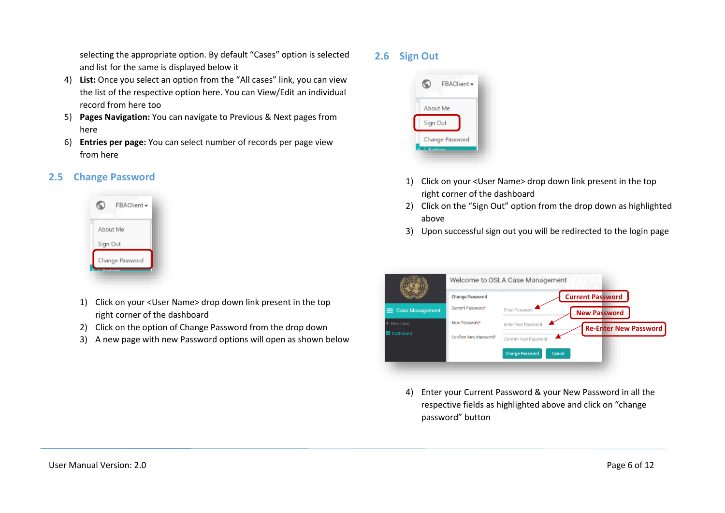selecting the appropriate option. By default "Cases" option is selected and list for the same is displayed below it

- 4) **List:** Once you select an option from the "All cases" link, you can view the list of the respective option here. You can View/Edit an individual record from here too
- 5) **Pages Navigation:** You can navigate to Previous & Next pages from here
- 6) **Entries per page:** You can select number of records per page view from here

#### <span id="page-5-0"></span>**2.5 Change Password**



- 1) Click on your <User Name> drop down link present in the top right corner of the dashboard
- 2) Click on the option of Change Password from the drop down
- 3) A new page with new Password options will open as shown below

#### <span id="page-5-1"></span>**2.6 Sign Out**



- 1) Click on your <User Name> drop down link present in the top right corner of the dashboard
- 2) Click on the "Sign Out" option from the drop down as highlighted above
- 3) Upon successful sign out you will be redirected to the login page



4) Enter your Current Password & your New Password in all the respective fields as highlighted above and click on "change password" button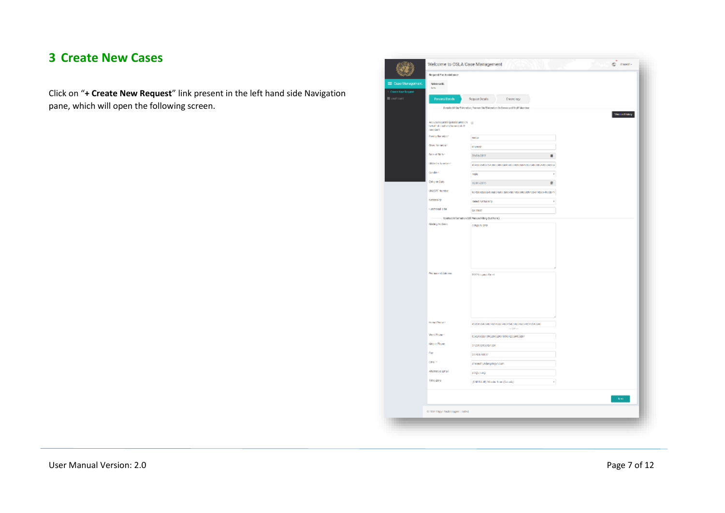# <span id="page-6-0"></span>**3 Create New Cases**

Click on "**+ Create New Request**" link present in the left hand side Navigation pane, which will open the following screen.

| Request Par Assistance                                                                          |                                                                        |                  |
|-------------------------------------------------------------------------------------------------|------------------------------------------------------------------------|------------------|
| Selectrics III.<br>Sm.                                                                          |                                                                        |                  |
| <b>Personal Datails</b>                                                                         | <b>Request Details</b><br>Dream legy                                   |                  |
|                                                                                                 | Ectails OF Steff Member, Toeram Steff Member Or Decoracel Rtaff Member |                  |
| Archore requesting analyticated on (iii)<br>behalf of conflue (home) staff<br><b>Canadian T</b> |                                                                        |                  |
| Firmly Nation(c) 1                                                                              | potter                                                                 |                  |
| <b>Grey Schedule</b>                                                                            | thereds                                                                |                  |
| <b>Balle of Nich +</b>                                                                          | засновит                                                               |                  |
| <b>IBI Index Manhassis</b>                                                                      | 45400 / SHOULD AVENUE OF FOREST AND CHARGES OF A CONTRACTOR            |                  |
| Gordon <sup>1</sup>                                                                             | reals                                                                  | $\mathbf{r}$     |
| <b>Extra on Data</b>                                                                            | 1011/0815                                                              | ×.               |
| UNION Number                                                                                    | 40-89 PERSON WAS ARRESTED FOR A \$50 PERSONAL DRUG AND STRUCTURES.     |                  |
| <b>Nickelairty</b>                                                                              | sales schools.                                                         | v                |
| <b>Executional Edit</b>                                                                         | DATEST                                                                 |                  |
| Contact Information (OTPwscan Filling Dut Form)                                                 |                                                                        |                  |
| Maling Actives                                                                                  | ABBLICKS.                                                              |                  |
| Personnel Adorse                                                                                | 2103 Legans Street                                                     |                  |
|                                                                                                 |                                                                        |                  |
| <b>How Plaza</b>                                                                                | 45054554054054054550546540540540540545540540<br>180                    |                  |
| Werk Project                                                                                    | 0301308-0902912245109012309400861                                      |                  |
| Melvie Phone                                                                                    | \$425430450454304                                                      |                  |
| For                                                                                             | stivitivitar                                                           |                  |
| City 1                                                                                          | chewing ideoption can                                                  |                  |
| Ahemittive Limail                                                                               | abgunarg                                                               |                  |
| Time Zone                                                                                       | (EM104-00) Marde True (Servaki)                                        | ٠                |
|                                                                                                 |                                                                        | $\mathbf{A}$ and |
| o zate zágo zadrobajec i nátež                                                                  |                                                                        |                  |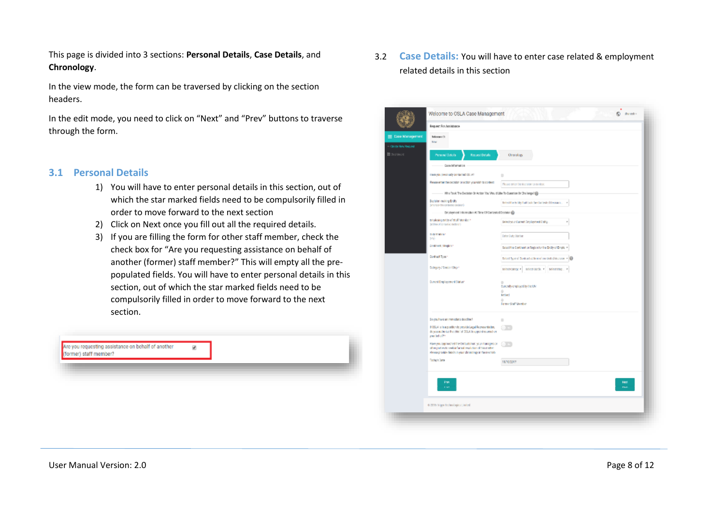This page is divided into 3 sections: **Personal Details**, **Case Details**, and **Chronology**.

In the view mode, the form can be traversed by clicking on the section headers.

In the edit mode, you need to click on "Next" and "Prev" buttons to traverse through the form.

#### <span id="page-7-0"></span>**3.1 Personal Details**

- 1) You will have to enter personal details in this section, out of which the star marked fields need to be compulsorily filled in order to move forward to the next section
- 2) Click on Next once you fill out all the required details.
- 3) If you are filling the form for other staff member, check the check box for "Are you requesting assistance on behalf of another (former) staff member?" This will empty all the prepopulated fields. You will have to enter personal details in this section, out of which the star marked fields need to be compulsorily filled in order to move forward to the next section.

## <span id="page-7-1"></span>3.2 **Case Details:** You will have to enter case related & employment related details in this section

| Request: For Assistance                                                                                               |                                                               |
|-----------------------------------------------------------------------------------------------------------------------|---------------------------------------------------------------|
| <b>Dox Management</b><br>Release (O)                                                                                  |                                                               |
| MW                                                                                                                    |                                                               |
| <b>Fire and Details</b><br>Personal Details                                                                           | Chranology                                                    |
| Case information                                                                                                      |                                                               |
| Hara you previously portacted 051.87                                                                                  | ٠                                                             |
| Reasonate the decision or action you wish to content                                                                  | Please enter the decision to context.                         |
| Who Took The Becleion Or Action You Viou of Like To Duestion Or Challenge? @                                          |                                                               |
| Decision moting Endity<br>(who took the contents oppositely)                                                          | bried the tridly that took the Contested Denision<br>٠        |
| Employment Information. At Time Of Contested Destator @                                                               |                                                               |
| employing entity of staff Monitor *<br>October patron of control to                                                   | Select your Current Employment Endity.<br>r                   |
| big station!                                                                                                          | <b>Date: Duty Station</b>                                     |
| <b>SIV</b><br>Continent / Region *                                                                                    |                                                               |
|                                                                                                                       | Select the Continent or Region for the Entity of Employm      |
| Dontract Type *                                                                                                       | Below! Type of Donk and at linne of our tested decision + 100 |
| Colegory / Dance / Chg +                                                                                              | BOOSTCROSCY BOOSTCRIDE V BOOSTCRIP P                          |
| Durrent Employement Status*                                                                                           | ٠                                                             |
|                                                                                                                       | Due triffs craptcyed by the UM<br>٠                           |
|                                                                                                                       | <b>Britist</b><br>٠                                           |
|                                                                                                                       | Former Staff Member                                           |
| Do you have an immediate deedline?                                                                                    | $\hfill \square$                                              |
| If OSLA is in a position to provide Legal Representation,<br>de you authorize the chief of GSLA to uppoint counsel on | 89                                                            |
| your behalfte.                                                                                                        |                                                               |
| Have you coprosofted the Onfourishman, your managers or<br>other parties to seek informal resolution of this metter.  |                                                               |
| Hease provide data is in your chronology in the next tab.<br>Today's large                                            |                                                               |
|                                                                                                                       | 18/10/2017                                                    |
|                                                                                                                       |                                                               |
| Park<br><b>COMP</b>                                                                                                   | Ned<br>m.                                                     |
|                                                                                                                       |                                                               |
| 0.2015 triger technological inited                                                                                    |                                                               |
|                                                                                                                       |                                                               |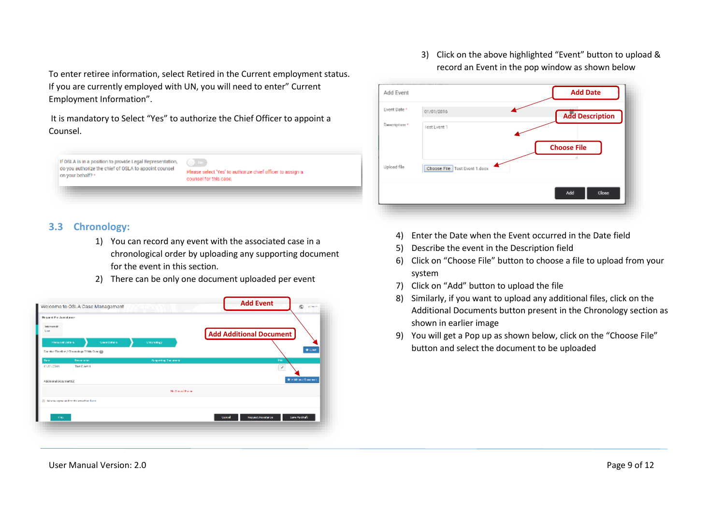To enter retiree information, select Retired in the Current employment status. If you are currently employed with UN, you will need to enter" Current Employment Information".

It is mandatory to Select "Yes" to authorize the Chief Officer to appoint a Counsel.



### <span id="page-8-0"></span>**3.3 Chronology:**

- 1) You can record any event with the associated case in a chronological order by uploading any supporting document for the event in this section.
- 2) There can be only one document uploaded per event



3) Click on the above highlighted "Event" button to upload & record an Event in the pop window as shown below



- 4) Enter the Date when the Event occurred in the Date field
- 5) Describe the event in the Description field
- 6) Click on "Choose File" button to choose a file to upload from your system
- 7) Click on "Add" button to upload the file
- 8) Similarly, if you want to upload any additional files, click on the Additional Documents button present in the Chronology section as shown in earlier image
- 9) You will get a Pop up as shown below, click on the "Choose File" button and select the document to be uploaded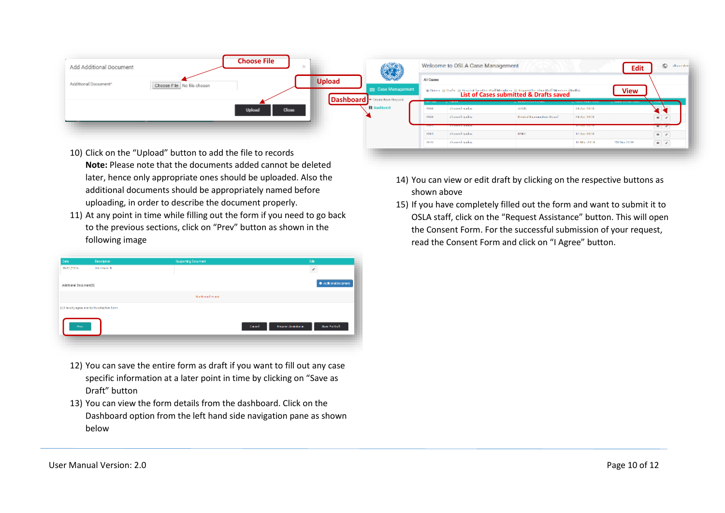| Add Additional Document | <b>Choose File</b>         | $\mathcal{R}$ |                                                           |                           | Welcome to OSLA Case Management                                     |                                                                                        |                                                          | Edit                           | C desides                                              |
|-------------------------|----------------------------|---------------|-----------------------------------------------------------|---------------------------|---------------------------------------------------------------------|----------------------------------------------------------------------------------------|----------------------------------------------------------|--------------------------------|--------------------------------------------------------|
| Additional Document*    | Choose File No file chosen | <b>Upload</b> | Case Management<br><b>Dashboard</b> + Grade Real Degreed. | All Capago                |                                                                     | a Gass Blish Official further and Members Historical Members (India)<br>-------------- | --------------                                           | <b>View</b><br>140211-0122-012 |                                                        |
|                         | Upload<br>Close            |               | <b>II</b> Dashboard                                       | 43.60<br>718 dc<br>12.912 | ---<br>dhaankaalo<br>distant sales<br><b><i><u>BREEZARD</u></i></b> | ARCE:<br><b>Control Fourness densitions</b>                                            | 24 Aug 2018<br>24 Aug 2018<br><b><i>MARKET CARDS</i></b> |                                | $\frac{1}{\sqrt{2}}$                                   |
|                         |                            |               |                                                           | $-0.001$<br>(11/1)        | distant sales<br>distant and re-                                    | 100410                                                                                 | 17 Apr 2018<br>12 Mar 2013                               | 250 May 21:18                  | $x + 1$<br>$\bullet$ - $\prime$<br>$\theta$ / $\theta$ |

- Click on the "Upload" button to add the file to records **Note:** Please note that the documents added cannot be deleted later, hence only appropriate ones should be uploaded. Also the additional documents should be appropriately named before uploading, in order to describe the document properly.
- 11) At any point in time while filling out the form if you need to go back to the previous sections, click on "Prev" button as shown in the following image

| <b>Cars</b>            | Description                                 | Supporting Document               | <b>Dige</b>              |
|------------------------|---------------------------------------------|-----------------------------------|--------------------------|
| manpath                | <b>Latitude 1</b>                           |                                   | $\overline{\mathcal{E}}$ |
| Additional Document(S) |                                             |                                   | · Additional Document    |
|                        |                                             | No Nemad Francis                  |                          |
|                        | III linesty ages and to the effector. Join- |                                   |                          |
| Hory                   |                                             | <b>Report Searchman</b><br>Canad. | <b>Save As Doll</b>      |
|                        |                                             |                                   |                          |

- 12) You can save the entire form as draft if you want to fill out any case specific information at a later point in time by clicking on "Save as Draft" button
- 13) You can view the form details from the dashboard. Click on the Dashboard option from the left hand side navigation pane as shown below
- 14) You can view or edit draft by clicking on the respective buttons as shown above
- 15) If you have completely filled out the form and want to submit it to OSLA staff, click on the "Request Assistance" button. This will open the Consent Form. For the successful submission of your request, read the Consent Form and click on "I Agree" button.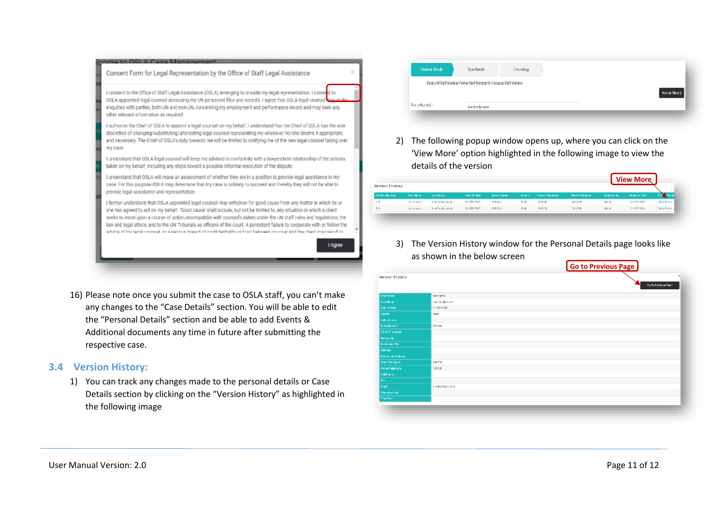

16) Please note once you submit the case to OSLA staff, you can't make any changes to the "Case Details" section. You will be able to edit the "Personal Details" section and be able to add Events & Additional documents any time in future after submitting the respective case.

### <span id="page-10-0"></span>**3.4 Version History:**

1) You can track any changes made to the personal details or Case Details section by clicking on the "Version History" as highlighted in the following image

| <b>Personal Details:</b> | <b>Case Details</b>                                                   | Catalogy |                   |
|--------------------------|-----------------------------------------------------------------------|----------|-------------------|
|                          | Details Of Btaff Member, Former Btaff Member Or Ceceased Btaff Member |          |                   |
|                          |                                                                       |          | <b>Weighthing</b> |
| her lytheration          | test familiensme.                                                     |          |                   |

2) The following popup window opens up, where you can click on the 'View More' option highlighted in the following image to view the details of the version

| Version Nordore | <b>Plan Henry</b> | <b>Tard Nower</b>    | <b>Disk-Til Refin</b> | <b>Soles Manders</b> |       | Concert House Telephone: | Medi Telephone | <b>Modified By:</b> | <b>Modive Rake</b> | <b>The Comment of Street</b> |
|-----------------|-------------------|----------------------|-----------------------|----------------------|-------|--------------------------|----------------|---------------------|--------------------|------------------------------|
| 5.3             | lead control      | their lands, succes- | 11/21/15/01           | 10.05                | Mide. | 冷凝器                      | 100,500        | allered.            | 14/12/07/15        | West Marie.                  |
| 1.1             | land manual.      | tool family name.    | 11/21/19:01           | 10/10/1              | Make  | 月光性                      | 100.708        | alord.              | 10912-01213        | View Maria.                  |

3) The Version History window for the Personal Details page looks like as shown in the below screen

|                          |                    | <b>Go to Previous Page</b>  |
|--------------------------|--------------------|-----------------------------|
| <b>Wraigh History</b>    |                    | <b>Co To Fernisson Page</b> |
| <b>Drainland</b>         | tast tems          |                             |
| Load Haras               | tast family concer |                             |
| <b>District Grib</b>     | 01/21/1991         |                             |
| Center                   | Islala             |                             |
| Date of Line             |                    |                             |
| <b>Index Nordon</b>      | 195280             |                             |
| <b>UUCY Surber</b>       |                    |                             |
| <b>Hallwood</b>          |                    |                             |
| <b>Northweiter</b>       |                    |                             |
| Address                  |                    |                             |
| <b>Finish and School</b> |                    |                             |
| <b>Mail Telephone</b>    | 28/799             |                             |
| Horse Telephone          | 736546             |                             |
| <b>California</b>        |                    |                             |
| Bev.                     |                    |                             |
| <b>Crash</b>             | <td></td>          |                             |
| Alternation formal       |                    |                             |
| Tow Term                 |                    |                             |